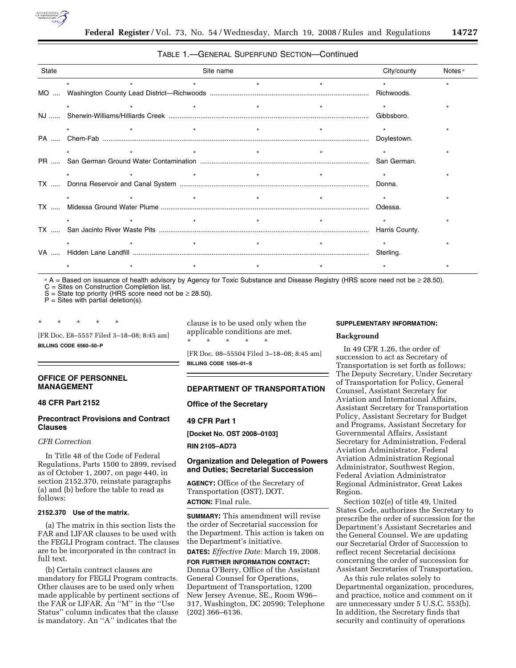

| State | Site name |         |         |         |  | City/county | Notes <sup>a</sup> |
|-------|-----------|---------|---------|---------|--|-------------|--------------------|
|       | $\star$   | $\star$ |         | $\star$ |  |             |                    |
|       |           |         |         |         |  | Richwoods.  |                    |
|       |           |         |         |         |  |             |                    |
|       |           |         |         |         |  | Gibbsboro.  |                    |
|       | $\star$   |         |         |         |  |             |                    |
|       |           |         |         |         |  | Doylestown. |                    |
|       |           |         |         |         |  |             |                    |
|       |           |         |         |         |  |             |                    |
|       |           |         |         |         |  |             |                    |
|       |           |         |         |         |  | Donna.      |                    |
|       |           |         | $\star$ |         |  |             |                    |
|       |           |         |         |         |  | Odessa.     |                    |
|       |           |         | $\star$ |         |  |             |                    |
|       |           |         |         |         |  |             |                    |
|       |           |         |         | $\star$ |  |             |                    |
|       |           |         |         |         |  |             |                    |
|       |           |         |         |         |  |             |                    |

TABLE 1.—GENERAL SUPERFUND SECTION—Continued

a A = Based on issuance of health advisory by Agency for Toxic Substance and Disease Registry (HRS score need not be ≥ 28.50).

C = Sites on Construction Completion list.

S = State top priority (HRS score need not be  $\geq$  28.50).  $P =$  Sites with partial deletion(s).

[FR Doc. E8–5557 Filed 3–18–08; 8:45 am] **BILLING CODE 6560–50–P** 

\* \* \* \* \*

### **OFFICE OF PERSONNEL MANAGEMENT**

# **48 CFR Part 2152**

## **Precontract Provisions and Contract Clauses**

# *CFR Correction*

In Title 48 of the Code of Federal Regulations, Parts 1500 to 2899, revised as of October 1, 2007, on page 440, in section 2152.370, reinstate paragraphs (a) and (b) before the table to read as follows:

### **2152.370 Use of the matrix.**

(a) The matrix in this section lists the FAR and LIFAR clauses to be used with the FEGLI Program contract. The clauses are to be incorporated in the contract in full text.

(b) Certain contract clauses are mandatory for FEGLI Program contracts. Other clauses are to be used only when made applicable by pertinent sections of the FAR or LIFAR. An ''M'' in the ''Use Status'' column indicates that the clause is mandatory. An ''A'' indicates that the

clause is to be used only when the applicable conditions are met. \* \* \* \* \*

[FR Doc. 08–55504 Filed 3–18–08; 8:45 am] **BILLING CODE 1505–01–S** 

## **DEPARTMENT OF TRANSPORTATION**

**Office of the Secretary** 

# **49 CFR Part 1**

**[Docket No. OST 2008–0103]** 

**RIN 2105–AD73** 

## **Organization and Delegation of Powers and Duties; Secretarial Succession**

**AGENCY:** Office of the Secretary of Transportation (OST), DOT. **ACTION:** Final rule.

**SUMMARY:** This amendment will revise the order of Secretarial succession for the Department. This action is taken on the Department's initiative.

**DATES:** *Effective Date:* March 19, 2008.

**FOR FURTHER INFORMATION CONTACT:**  Donna O'Berry, Office of the Assistant General Counsel for Operations, Department of Transportation, 1200 New Jersey Avenue, SE., Room W96– 317, Washington, DC 20590; Telephone (202) 366–6136.

### **SUPPLEMENTARY INFORMATION:**

#### **Background**

In 49 CFR 1.26, the order of succession to act as Secretary of Transportation is set forth as follows: The Deputy Secretary, Under Secretary of Transportation for Policy, General Counsel, Assistant Secretary for Aviation and International Affairs, Assistant Secretary for Transportation Policy, Assistant Secretary for Budget and Programs, Assistant Secretary for Governmental Affairs, Assistant Secretary for Administration, Federal Aviation Administrator, Federal Aviation Administration Regional Administrator, Southwest Region, Federal Aviation Administrator Regional Administrator, Great Lakes Region.

Section 102(e) of title 49, United States Code, authorizes the Secretary to prescribe the order of succession for the Department's Assistant Secretaries and the General Counsel. We are updating our Secretarial Order of Succession to reflect recent Secretarial decisions concerning the order of succession for Assistant Secretaries of Transportation.

As this rule relates solely to Departmental organization, procedures, and practice, notice and comment on it are unnecessary under 5 U.S.C. 553(b). In addition, the Secretary finds that security and continuity of operations